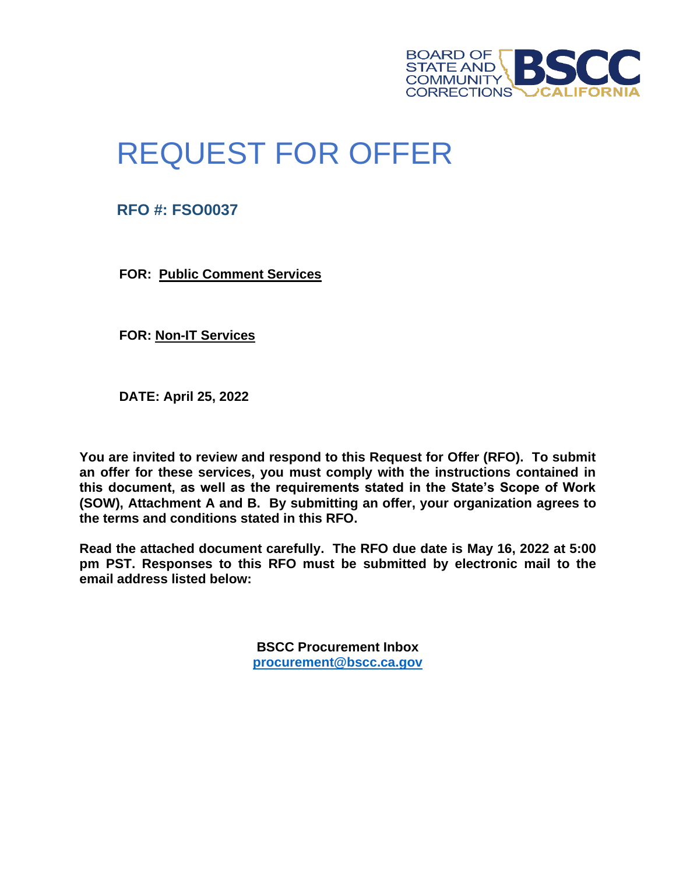

# REQUEST FOR OFFER

**RFO #: FSO0037**

**FOR: Public Comment Services**

**FOR: Non-IT Services**

**DATE: April 25, 2022**

**You are invited to review and respond to this Request for Offer (RFO). To submit an offer for these services, you must comply with the instructions contained in this document, as well as the requirements stated in the State's Scope of Work (SOW), Attachment A and B. By submitting an offer, your organization agrees to the terms and conditions stated in this RFO.**

**Read the attached document carefully. The RFO due date is May 16, 2022 at 5:00 pm PST. Responses to this RFO must be submitted by electronic mail to the email address listed below:**

> **BSCC Procurement Inbox [procurement@bscc.ca.gov](mailto:procurement@bscc.ca.gov)**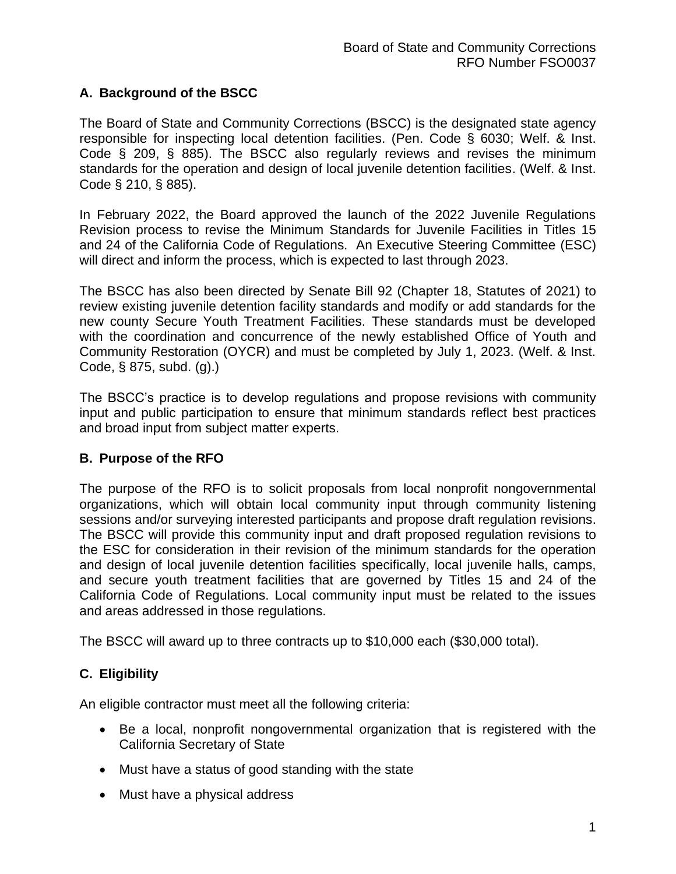## **A. Background of the BSCC**

The Board of State and Community Corrections (BSCC) is the designated state agency responsible for inspecting local detention facilities. (Pen. Code § 6030; Welf. & Inst. Code § 209, § 885). The BSCC also regularly reviews and revises the minimum standards for the operation and design of local juvenile detention facilities. (Welf. & Inst. Code § 210, § 885).

In February 2022, the Board approved the launch of the 2022 Juvenile Regulations Revision process to revise the Minimum Standards for Juvenile Facilities in Titles 15 and 24 of the California Code of Regulations. An Executive Steering Committee (ESC) will direct and inform the process, which is expected to last through 2023.

The BSCC has also been directed by Senate Bill 92 (Chapter 18, Statutes of 2021) to review existing juvenile detention facility standards and modify or add standards for the new county Secure Youth Treatment Facilities. These standards must be developed with the coordination and concurrence of the newly established Office of Youth and Community Restoration (OYCR) and must be completed by July 1, 2023. (Welf. & Inst. Code, § 875, subd. (g).)

The BSCC's practice is to develop regulations and propose revisions with community input and public participation to ensure that minimum standards reflect best practices and broad input from subject matter experts.

#### **B. Purpose of the RFO**

The purpose of the RFO is to solicit proposals from local nonprofit nongovernmental organizations, which will obtain local community input through community listening sessions and/or surveying interested participants and propose draft regulation revisions. The BSCC will provide this community input and draft proposed regulation revisions to the ESC for consideration in their revision of the minimum standards for the operation and design of local juvenile detention facilities specifically, local juvenile halls, camps, and secure youth treatment facilities that are governed by Titles 15 and 24 of the California Code of Regulations. Local community input must be related to the issues and areas addressed in those regulations.

The BSCC will award up to three contracts up to \$10,000 each (\$30,000 total).

## **C. Eligibility**

An eligible contractor must meet all the following criteria:

- Be a local, nonprofit nongovernmental organization that is registered with the California Secretary of State
- Must have a status of good standing with the state
- Must have a physical address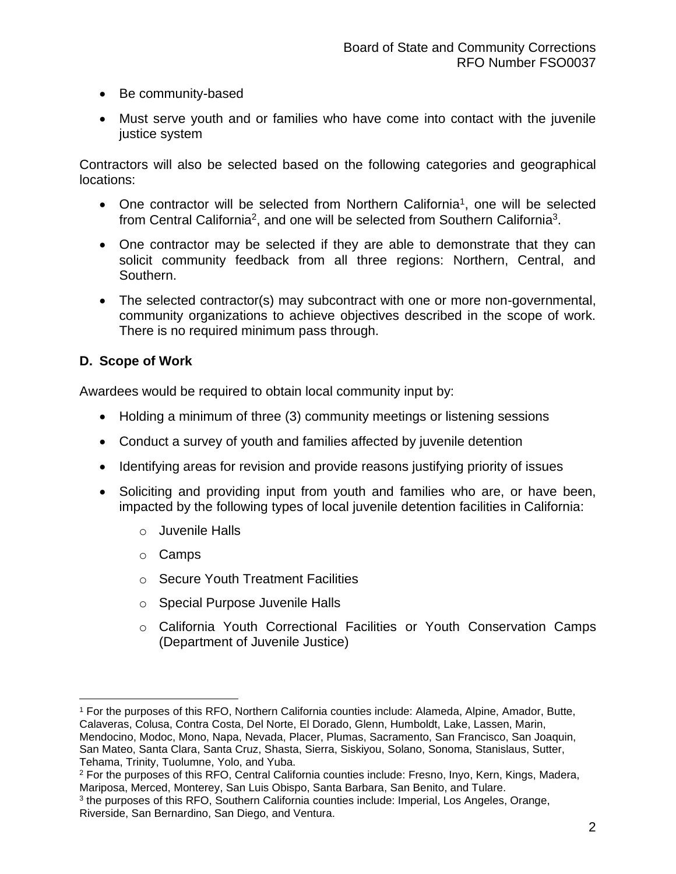- Be community-based
- Must serve youth and or families who have come into contact with the juvenile justice system

Contractors will also be selected based on the following categories and geographical locations:

- One contractor will be selected from Northern California<sup>1</sup>, one will be selected from Central California<sup>2</sup>, and one will be selected from Southern California<sup>3</sup>.
- One contractor may be selected if they are able to demonstrate that they can solicit community feedback from all three regions: Northern, Central, and Southern.
- The selected contractor(s) may subcontract with one or more non-governmental, community organizations to achieve objectives described in the scope of work. There is no required minimum pass through.

## **D. Scope of Work**

Awardees would be required to obtain local community input by:

- Holding a minimum of three (3) community meetings or listening sessions
- Conduct a survey of youth and families affected by juvenile detention
- Identifying areas for revision and provide reasons justifying priority of issues
- Soliciting and providing input from youth and families who are, or have been, impacted by the following types of local juvenile detention facilities in California:
	- o Juvenile Halls
	- o Camps
	- o Secure Youth Treatment Facilities
	- o Special Purpose Juvenile Halls
	- o California Youth Correctional Facilities or Youth Conservation Camps (Department of Juvenile Justice)

<sup>1</sup> For the purposes of this RFO, Northern California counties include: Alameda, Alpine, Amador, Butte, Calaveras, Colusa, Contra Costa, Del Norte, El Dorado, Glenn, Humboldt, Lake, Lassen, Marin, Mendocino, Modoc, Mono, Napa, Nevada, Placer, Plumas, Sacramento, San Francisco, San Joaquin, San Mateo, Santa Clara, Santa Cruz, Shasta, Sierra, Siskiyou, Solano, Sonoma, Stanislaus, Sutter, Tehama, Trinity, Tuolumne, Yolo, and Yuba.

<sup>2</sup> For the purposes of this RFO, Central California counties include: Fresno, Inyo, Kern, Kings, Madera, Mariposa, Merced, Monterey, San Luis Obispo, Santa Barbara, San Benito, and Tulare.

<sup>&</sup>lt;sup>3</sup> the purposes of this RFO, Southern California counties include: Imperial, Los Angeles, Orange, Riverside, San Bernardino, San Diego, and Ventura.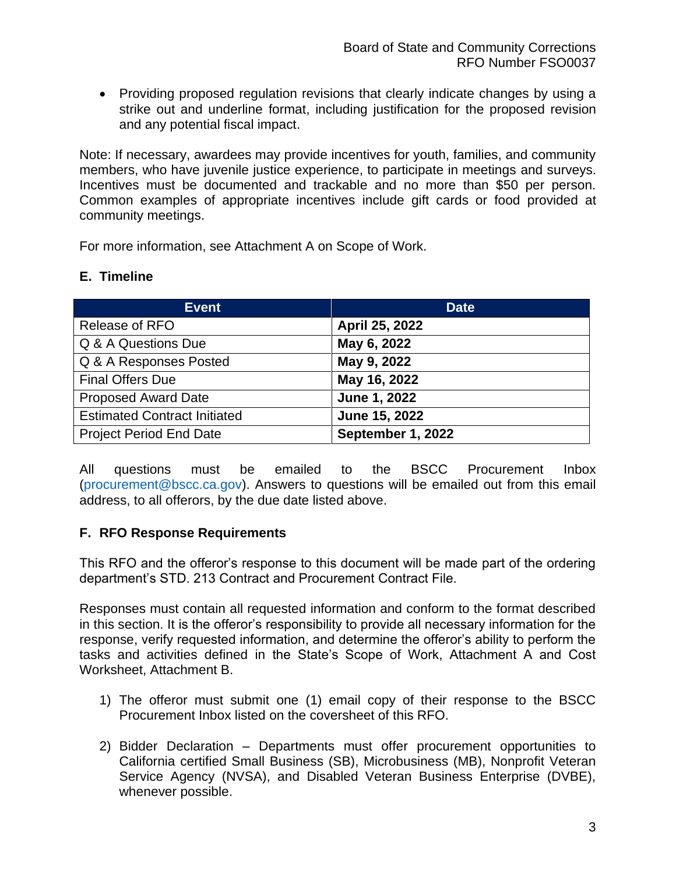• Providing proposed regulation revisions that clearly indicate changes by using a strike out and underline format, including justification for the proposed revision and any potential fiscal impact.

Note: If necessary, awardees may provide incentives for youth, families, and community members, who have juvenile justice experience, to participate in meetings and surveys. Incentives must be documented and trackable and no more than \$50 per person. Common examples of appropriate incentives include gift cards or food provided at community meetings.

For more information, see Attachment A on Scope of Work.

#### **E. Timeline**

| <b>Event</b>                        | <b>Date</b>       |
|-------------------------------------|-------------------|
| <b>Release of RFO</b>               | April 25, 2022    |
| Q & A Questions Due                 | May 6, 2022       |
| Q & A Responses Posted              | May 9, 2022       |
| <b>Final Offers Due</b>             | May 16, 2022      |
| <b>Proposed Award Date</b>          | June 1, 2022      |
| <b>Estimated Contract Initiated</b> | June 15, 2022     |
| <b>Project Period End Date</b>      | September 1, 2022 |

All questions must be emailed to the BSCC Procurement Inbox (procurement@bscc.ca.gov). Answers to questions will be emailed out from this email address, to all offerors, by the due date listed above.

#### **F. RFO Response Requirements**

This RFO and the offeror's response to this document will be made part of the ordering department's STD. 213 Contract and Procurement Contract File.

Responses must contain all requested information and conform to the format described in this section. It is the offeror's responsibility to provide all necessary information for the response, verify requested information, and determine the offeror's ability to perform the tasks and activities defined in the State's Scope of Work, Attachment A and Cost Worksheet, Attachment B.

- 1) The offeror must submit one (1) email copy of their response to the BSCC Procurement Inbox listed on the coversheet of this RFO.
- 2) Bidder Declaration Departments must offer procurement opportunities to California certified Small Business (SB), Microbusiness (MB), Nonprofit Veteran Service Agency (NVSA), and Disabled Veteran Business Enterprise (DVBE), whenever possible.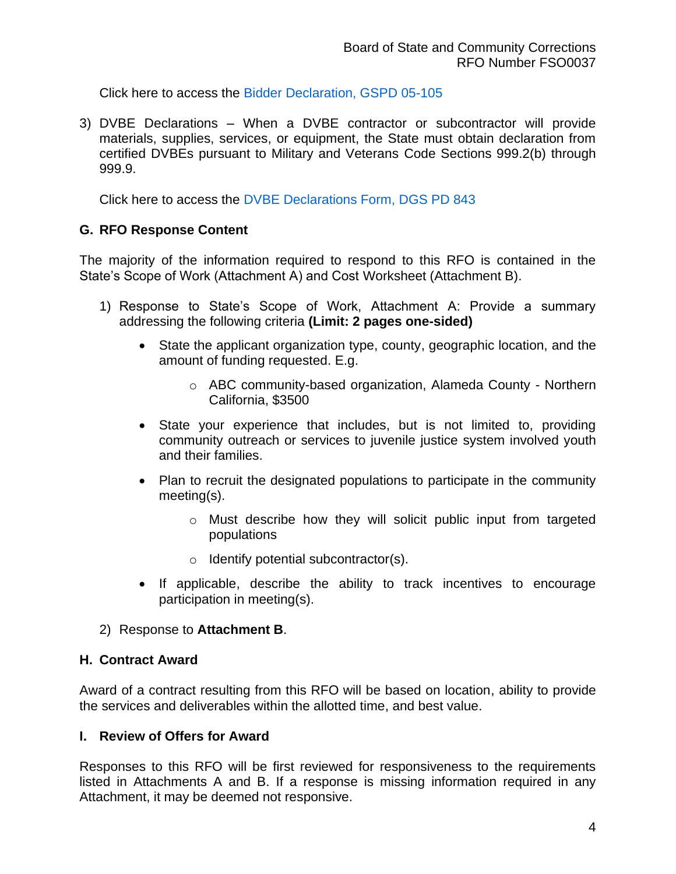Click here to access the Bidder Declaration, GSPD 05-105

3) DVBE Declarations – When a DVBE contractor or subcontractor will provide materials, supplies, services, or equipment, the State must obtain declaration from certified DVBEs pursuant to Military and Veterans Code Sections 999.2(b) through 999.9.

Click here to access the DVBE Declarations Form, DGS PD 843

#### **G. RFO Response Content**

The majority of the information required to respond to this RFO is contained in the State's Scope of Work (Attachment A) and Cost Worksheet (Attachment B).

- 1) Response to State's Scope of Work, Attachment A: Provide a summary addressing the following criteria **(Limit: 2 pages one-sided)**
	- State the applicant organization type, county, geographic location, and the amount of funding requested. E.g.
		- o ABC community-based organization, Alameda County Northern California, \$3500
	- State your experience that includes, but is not limited to, providing community outreach or services to juvenile justice system involved youth and their families.
	- Plan to recruit the designated populations to participate in the community meeting(s).
		- o Must describe how they will solicit public input from targeted populations
		- o Identify potential subcontractor(s).
	- If applicable, describe the ability to track incentives to encourage participation in meeting(s).
- 2) Response to **Attachment B**.

#### **H. Contract Award**

Award of a contract resulting from this RFO will be based on location, ability to provide the services and deliverables within the allotted time, and best value.

#### **I. Review of Offers for Award**

Responses to this RFO will be first reviewed for responsiveness to the requirements listed in Attachments A and B. If a response is missing information required in any Attachment, it may be deemed not responsive.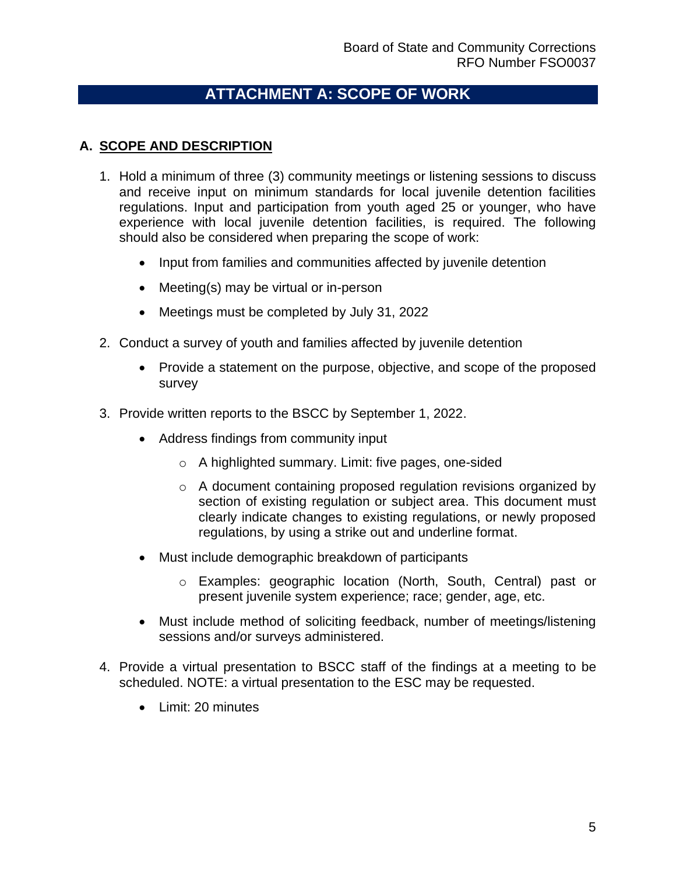## **ATTACHMENT A: SCOPE OF WORK**

## **A. SCOPE AND DESCRIPTION**

- 1. Hold a minimum of three (3) community meetings or listening sessions to discuss and receive input on minimum standards for local juvenile detention facilities regulations. Input and participation from youth aged 25 or younger, who have experience with local juvenile detention facilities, is required. The following should also be considered when preparing the scope of work:
	- Input from families and communities affected by juvenile detention
	- Meeting(s) may be virtual or in-person
	- Meetings must be completed by July 31, 2022
- 2. Conduct a survey of youth and families affected by juvenile detention
	- Provide a statement on the purpose, objective, and scope of the proposed survey
- 3. Provide written reports to the BSCC by September 1, 2022.
	- Address findings from community input
		- o A highlighted summary. Limit: five pages, one-sided
		- o A document containing proposed regulation revisions organized by section of existing regulation or subject area. This document must clearly indicate changes to existing regulations, or newly proposed regulations, by using a strike out and underline format.
	- Must include demographic breakdown of participants
		- o Examples: geographic location (North, South, Central) past or present juvenile system experience; race; gender, age, etc.
	- Must include method of soliciting feedback, number of meetings/listening sessions and/or surveys administered.
- 4. Provide a virtual presentation to BSCC staff of the findings at a meeting to be scheduled. NOTE: a virtual presentation to the ESC may be requested.
	- Limit: 20 minutes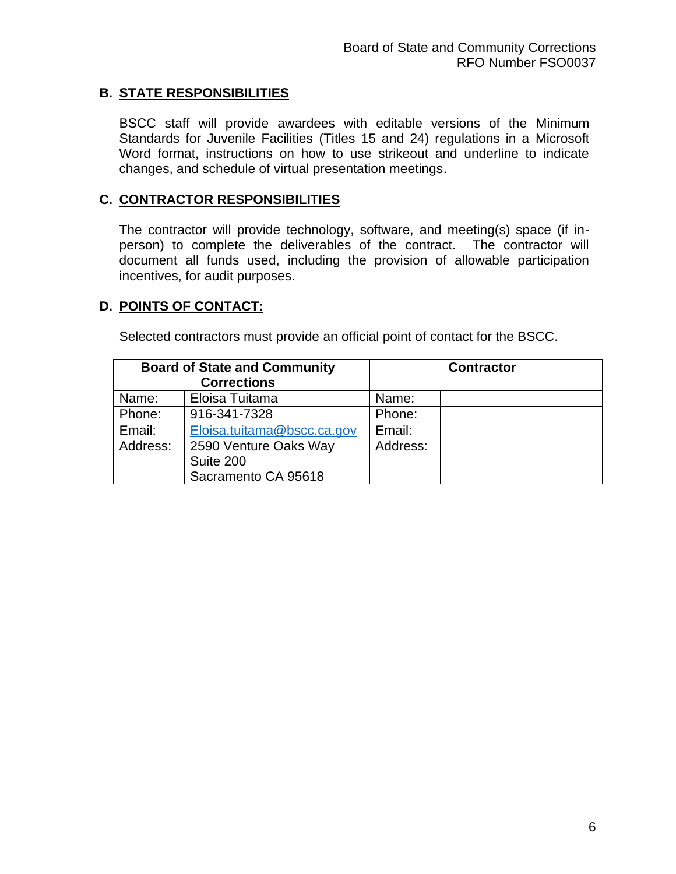## **B. STATE RESPONSIBILITIES**

BSCC staff will provide awardees with editable versions of the Minimum Standards for Juvenile Facilities (Titles 15 and 24) regulations in a Microsoft Word format, instructions on how to use strikeout and underline to indicate changes, and schedule of virtual presentation meetings.

### **C. CONTRACTOR RESPONSIBILITIES**

The contractor will provide technology, software, and meeting(s) space (if inperson) to complete the deliverables of the contract. The contractor will document all funds used, including the provision of allowable participation incentives, for audit purposes.

## **D. POINTS OF CONTACT:**

Selected contractors must provide an official point of contact for the BSCC.

|          | <b>Board of State and Community</b> |          | <b>Contractor</b> |
|----------|-------------------------------------|----------|-------------------|
|          | <b>Corrections</b>                  |          |                   |
| Name:    | Eloisa Tuitama                      | Name:    |                   |
| Phone:   | 916-341-7328                        | Phone:   |                   |
| Email:   | Eloisa.tuitama@bscc.ca.gov          | Email:   |                   |
| Address: | 2590 Venture Oaks Way               | Address: |                   |
|          | Suite 200                           |          |                   |
|          | Sacramento CA 95618                 |          |                   |